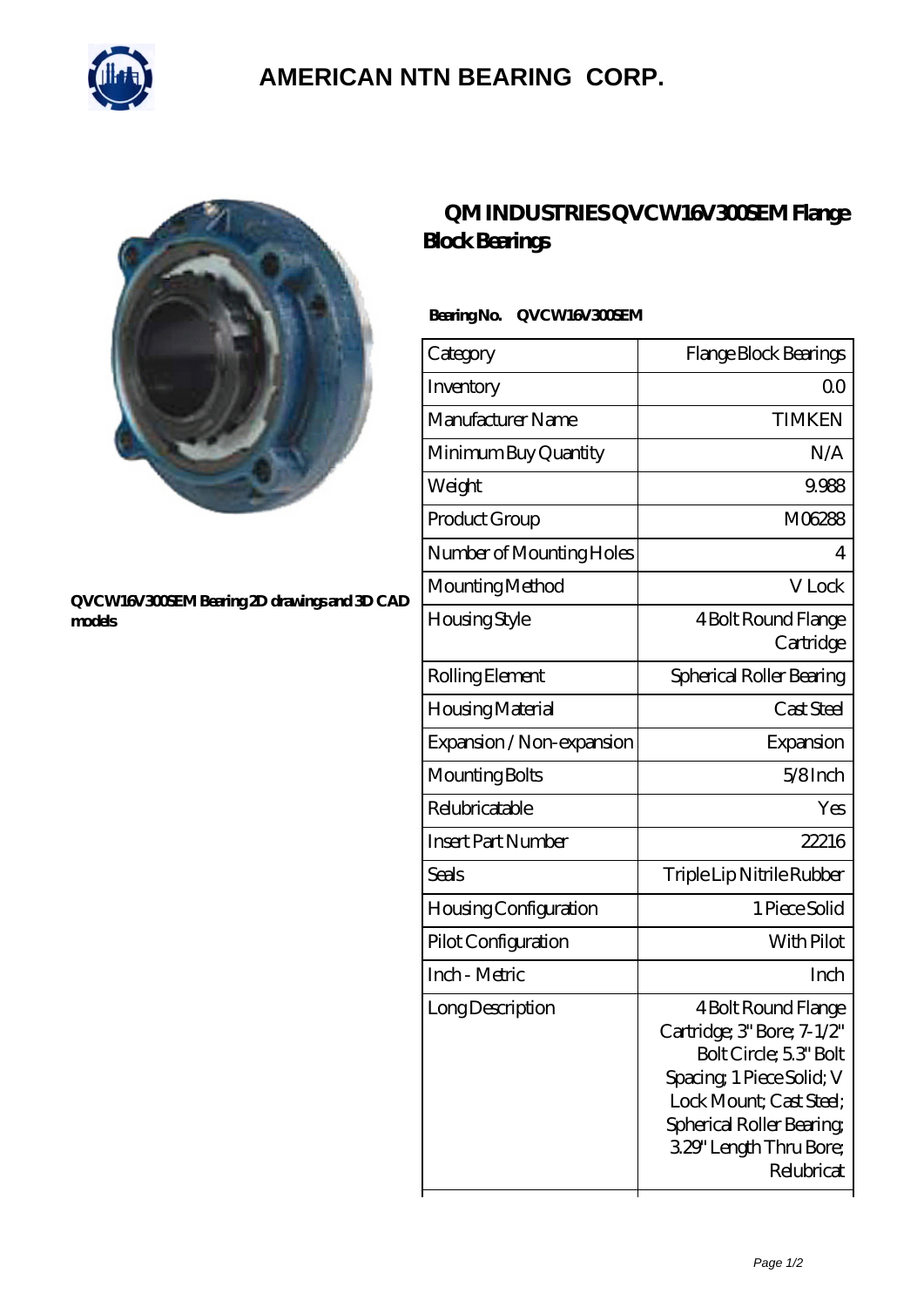

## **[AMERICAN NTN BEARING CORP.](https://all-about-hang-gliding.com)**



#### **[QVCW16V300SEM Bearing 2D drawings and 3D CAD](https://all-about-hang-gliding.com/pic-191752.html) [models](https://all-about-hang-gliding.com/pic-191752.html)**

### **[QM INDUSTRIES QVCW16V300SEM Flange](https://all-about-hang-gliding.com/af-191752-qm-industries-qvcw16v300sem-flange-block-bearings.html) [Block Bearings](https://all-about-hang-gliding.com/af-191752-qm-industries-qvcw16v300sem-flange-block-bearings.html)**

### **Bearing No. QVCW16V300SEM**

| Category                     | Flange Block Bearings                                                                                                                                                                                    |
|------------------------------|----------------------------------------------------------------------------------------------------------------------------------------------------------------------------------------------------------|
| Inventory                    | 0 <sup>0</sup>                                                                                                                                                                                           |
| Manufacturer Name            | <b>TIMKEN</b>                                                                                                                                                                                            |
| Minimum Buy Quantity         | N/A                                                                                                                                                                                                      |
| Weight                       | 9.988                                                                                                                                                                                                    |
| Product Group                | M06288                                                                                                                                                                                                   |
| Number of Mounting Holes     | 4                                                                                                                                                                                                        |
| Mounting Method              | V Lock                                                                                                                                                                                                   |
| Housing Style                | 4 Bolt Round Flange<br>Cartridge                                                                                                                                                                         |
| Rolling Element              | Spherical Roller Bearing                                                                                                                                                                                 |
| Housing Material             | Cast Steel                                                                                                                                                                                               |
| Expansion / Non-expansion    | Expansion                                                                                                                                                                                                |
| Mounting Bolts               | 5/8Inch                                                                                                                                                                                                  |
| Relubricatable               | Yes                                                                                                                                                                                                      |
| <b>Insert Part Number</b>    | 22216                                                                                                                                                                                                    |
| Seals                        | Triple Lip Nitrile Rubber                                                                                                                                                                                |
| <b>Housing Configuration</b> | 1 Piece Solid                                                                                                                                                                                            |
| Pilot Configuration          | With Pilot                                                                                                                                                                                               |
| Inch - Metric                | Inch                                                                                                                                                                                                     |
| Long Description             | 4 Bolt Round Flange<br>Cartridge; 3' Bore; 7-1/2"<br>Bolt Circle; 5.3" Bolt<br>Spacing, 1 Piece Solid; V<br>Lock Mount; Cast Steel;<br>Spherical Roller Bearing<br>3.29" Length Thru Bore;<br>Relubricat |